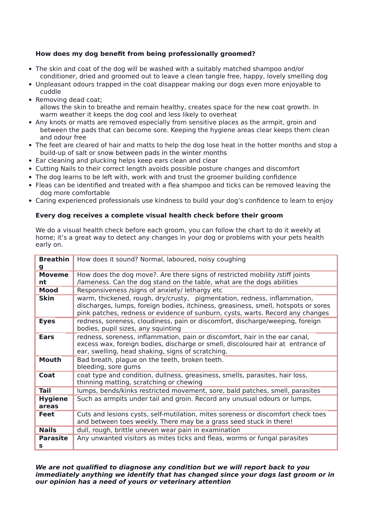# **How does my dog benefit from being professionally groomed?**

- The skin and coat of the dog will be washed with a suitably matched shampoo and/or conditioner, dried and groomed out to leave a clean tangle free, happy, lovely smelling dog
- Unpleasant odours trapped in the coat disappear making our dogs even more enjoyable to cuddle
- Removing dead coat; allows the skin to breathe and remain healthy, creates space for the new coat growth. In warm weather it keeps the dog cool and less likely to overheat
- Any knots or matts are removed especially from sensitive places as the armpit, groin and between the pads that can become sore. Keeping the hygiene areas clear keeps them clean and odour free
- The feet are cleared of hair and matts to help the dog lose heat in the hotter months and stop a build-up of salt or snow between pads in the winter months
- Ear cleaning and plucking helps keep ears clean and clear
- Cutting Nails to their correct length avoids possible posture changes and discomfort
- The dog learns to be left with, work with and trust the groomer building confidence
- Fleas can be identified and treated with a flea shampoo and ticks can be removed leaving the dog more comfortable
- Caring experienced professionals use kindness to build your dog's confidence to learn to enjoy

## **Every dog receives a complete visual health check before their groom**

We do a visual health check before each groom, you can follow the chart to do it weekly at home; it's a great way to detect any changes in your dog or problems with your pets health early on.

| <b>Breathin</b><br>g    | How does it sound? Normal, laboured, noisy coughing                                                                                                                                                                                              |
|-------------------------|--------------------------------------------------------------------------------------------------------------------------------------------------------------------------------------------------------------------------------------------------|
| <b>Moveme</b><br>nt     | How does the dog move?. Are there signs of restricted mobility /stiff joints<br>/lameness. Can the dog stand on the table, what are the dogs abilities                                                                                           |
| Mood                    | Responsiveness /signs of anxiety/ lethargy etc                                                                                                                                                                                                   |
| <b>Skin</b>             | warm, thickened, rough, dry/crusty, pigmentation, redness, inflammation,<br>discharges, lumps, foreign bodies, itchiness, greasiness, smell, hotspots or sores<br>pink patches, redness or evidence of sunburn, cysts, warts. Record any changes |
| <b>Eyes</b>             | redness, soreness, cloudiness, pain or discomfort, discharge/weeping, foreign<br>bodies, pupil sizes, any squinting                                                                                                                              |
| <b>Ears</b>             | redness, soreness, inflammation, pain or discomfort, hair in the ear canal,<br>excess wax, foreign bodies, discharge or smell, discoloured hair at entrance of<br>ear, swelling, head shaking, signs of scratching.                              |
| <b>Mouth</b>            | Bad breath, plague on the teeth, broken teeth.<br>bleeding, sore gums                                                                                                                                                                            |
| Coat                    | coat type and condition, dullness, greasiness, smells, parasites, hair loss,<br>thinning matting, scratching or chewing                                                                                                                          |
| <b>Tail</b>             | lumps, bends/kinks restricted movement, sore, bald patches, smell, parasites                                                                                                                                                                     |
| <b>Hygiene</b><br>areas | Such as armpits under tail and groin. Record any unusual odours or lumps,                                                                                                                                                                        |
| <b>Feet</b>             | Cuts and lesions cysts, self-mutilation, mites soreness or discomfort check toes<br>and between toes weekly. There may be a grass seed stuck in there!                                                                                           |
| <b>Nails</b>            | dull, rough, brittle uneven wear pain in examination                                                                                                                                                                                             |
| <b>Parasite</b><br>s    | Any unwanted visitors as mites ticks and fleas, worms or fungal parasites                                                                                                                                                                        |

**We are not qualified to diagnose any condition but we will report back to you immediately anything we identify that has changed since your dogs last groom or in our opinion has a need of yours or veterinary attention**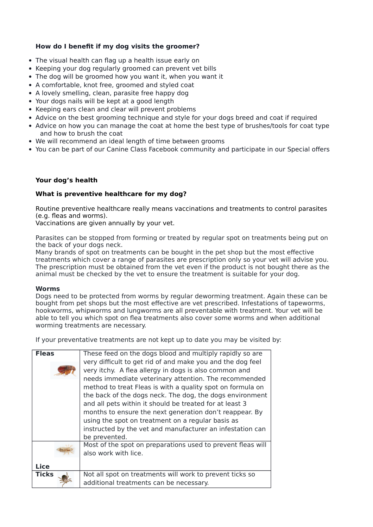## **How do I benefit if my dog visits the groomer?**

- The visual health can flag up a health issue early on
- Keeping your dog regularly groomed can prevent vet bills
- The dog will be groomed how you want it, when you want it
- A comfortable, knot free, groomed and styled coat
- A lovely smelling, clean, parasite free happy dog
- Your dogs nails will be kept at a good length
- Keeping ears clean and clear will prevent problems
- Advice on the best grooming technique and style for your dogs breed and coat if required
- Advice on how you can manage the coat at home the best type of brushes/tools for coat type and how to brush the coat
- We will recommend an ideal length of time between grooms
- You can be part of our Canine Class Facebook community and participate in our Special offers

### **Your dog's health**

### **What is preventive healthcare for my dog?**

Routine preventive healthcare really means vaccinations and treatments to control parasites (e.g. fleas and worms).

Vaccinations are given annually by your vet.

Parasites can be stopped from forming or treated by regular spot on treatments being put on the back of your dogs neck.

Many brands of spot on treatments can be bought in the pet shop but the most effective treatments which cover a range of parasites are prescription only so your vet will advise you. The prescription must be obtained from the vet even if the product is not bought there as the animal must be checked by the vet to ensure the treatment is suitable for your dog.

#### **Worms**

Dogs need to be protected from worms by regular deworming treatment. Again these can be bought from pet shops but the most effective are vet prescribed. Infestations of tapeworms, hookworms, whipworms and lungworms are all preventable with treatment. Your vet will be able to tell you which spot on flea treatments also cover some worms and when additional worming treatments are necessary.

If your preventative treatments are not kept up to date you may be visited by:

| <b>Fleas</b> | These feed on the dogs blood and multiply rapidly so are    |
|--------------|-------------------------------------------------------------|
|              | very difficult to get rid of and make you and the dog feel  |
|              | very itchy. A flea allergy in dogs is also common and       |
|              | needs immediate veterinary attention. The recommended       |
|              | method to treat Fleas is with a quality spot on formula on  |
|              | the back of the dogs neck. The dog, the dogs environment    |
|              | and all pets within it should be treated for at least 3     |
|              | months to ensure the next generation don't reappear. By     |
|              | using the spot on treatment on a regular basis as           |
|              | instructed by the vet and manufacturer an infestation can   |
|              | be prevented.                                               |
|              | Most of the spot on preparations used to prevent fleas will |
|              | also work with lice.                                        |
|              |                                                             |
| <b>Lice</b>  |                                                             |
| <b>Ticks</b> | Not all spot on treatments will work to prevent ticks so    |
|              | additional treatments can be necessary.                     |